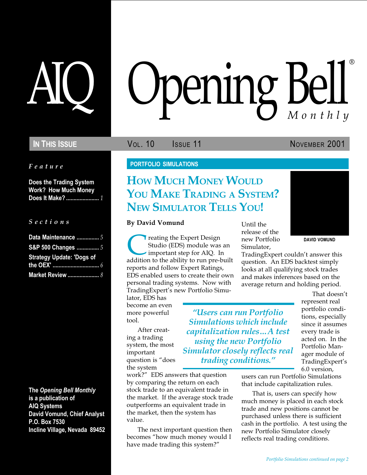Feature

Does the Trading System Work? How Much Money Does It Make? ........................ 1

#### S e c t i o n s

| Data Maintenance  5              |
|----------------------------------|
| S&P 500 Changes  5               |
| <b>Strategy Update: 'Dogs of</b> |
|                                  |
| Market Review  8                 |

The Opening Bell Monthly is a publication of AIQ Systems David Vomund, Chief Analyst P.O. Box 7530 Incline Village, Nevada 89452

# AIQ Opening Bell ®

**IN THIS ISSUE VOL. 10 ISSUE VOL. 10 ISSUE 11 NOVEMBER 2001** 

#### PORTFOLIO SIMULATIONS

## HOW MUCH MONEY WOULD YOU MAKE TRADING A SYSTEM? NEW SIMULATOR TELLS YOU!

#### By David Vomund

**Creating the Expert Design<br>Studio (EDS) module was an important step for AIQ. In**<br>addition to the ability to run pre-built Studio (EDS) module was an important step for AIQ. In reports and follow Expert Ratings, EDS enabled users to create their own personal trading systems. Now with TradingExpert's new Portfolio Simu-

lator, EDS has become an even more powerful tool.

After creating a trading system, the most important question is "does the system

Simulations which include capitalization rules...A test using the new Portfolio Simulator closely reflects real trading conditions.

Users can run Portfolio

work?" EDS answers that question by comparing the return on each stock trade to an equivalent trade in the market. If the average stock trade outperforms an equivalent trade in the market, then the system has value.

The next important question then becomes "how much money would I have made trading this system?

Until the release of the new Portfolio Simulator,



DAVID VOMUND

TradingExpert couldn't answer this question. An EDS backtest simply looks at all qualifying stock trades and makes inferences based on the average return and holding period.

> That doesn't represent real portfolio conditions, especially since it assumes every trade is acted on. In the Portfolio Manager module of TradingExpert's 6.0 version,

users can run Portfolio Simulations that include capitalization rules.

That is, users can specify how much money is placed in each stock trade and new positions cannot be purchased unless there is sufficient cash in the portfolio. A test using the new Portfolio Simulator closely reflects real trading conditions.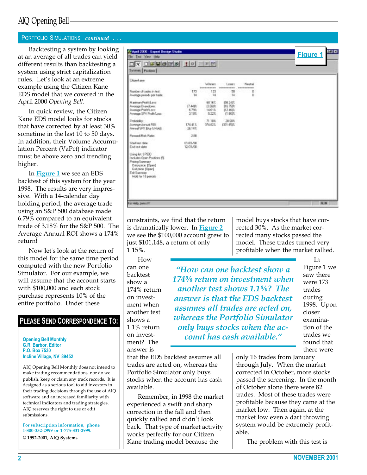## AIQ Opening Bell

#### PORTFOLIO SIMULATIONS continued . . .

Backtesting a system by looking at an average of all trades can yield different results than backtesting a system using strict capitalization rules. Let's look at an extreme example using the Citizen Kane EDS model that we covered in the April 2000 Opening Bell.

In quick review, the Citizen Kane EDS model looks for stocks that have corrected by at least 30% sometime in the last 10 to 50 days. In addition, their Volume Accumulation Percent (VaPct) indicator must be above zero and trending higher.

In **Figure 1** we see an EDS backtest of this system for the year 1998. The results are very impressive. With a 14-calendar day holding period, the average trade using an S&P 500 database made 6.79% compared to an equivalent trade of 3.18% for the S&P 500. The Average Annual ROI shows a 174% return!

Now let's look at the return of this model for the same time period computed with the new Portfolio Simulator. For our example, we will assume that the account starts with \$100,000 and each stock purchase represents 10% of the entire portfolio. Under these

#### PLEASE SEND CORRESPONDENCE TO:

Opening Bell Monthly G.R. Barbor, Editor P.O. Box 7530 Incline Village, NV 89452

AIQ Opening Bell Monthly does not intend to make trading recommendations, nor do we publish, keep or claim any track records. It is designed as a serious tool to aid investors in their trading decisions through the use of AIQ software and an increased familiarity with technical indicators and trading strategies. AIQ reserves the right to use or edit submissions.

For subscription information, phone 1-800-332-2999 or 1-775-831-2999.

© 1992-2001, AIQ Systems

| XDBBBBA 10 EFF<br>Sanney Postero                                                                                                                       |                          |                                       |                                             |                      |  |
|--------------------------------------------------------------------------------------------------------------------------------------------------------|--------------------------|---------------------------------------|---------------------------------------------|----------------------|--|
| Drickenk area                                                                                                                                          |                          | Werger                                | Leser                                       | <b>Neutral</b>       |  |
| Mundow of trades in twitt<br>Avesage periods per bade                                                                                                  | 173<br>$-14$             | **********<br>123<br>14               | ----------<br>50<br>14                      | ----------<br>D<br>b |  |
| Maximum Profit/Lase<br>Average Drawdown:<br>Avenue ProWLerr:<br>Average SP/C Profit/Lozz                                                               | 17.44円<br>6.79%<br>3.18% | 68.16%<br>(3.66) 内<br>14.61%<br>5.22% | FR.341%<br>116,75(%)<br>112,461%<br>(1,061) |                      |  |
| Probability.<br><b>Binesson Annual ROI</b><br>Annual SPX Buy & Hold)                                                                                   | 174.41%<br>26.14%        | 71.10%<br>374, 92%                    | <b>20.98%</b><br>(321, 658%)                |                      |  |
| <b>Fewerd Flok Rate:</b>                                                                                                                               | 2.88                     |                                       |                                             |                      |  |
| Start leat date:<br>Eadtest date                                                                                                                       | 01/01/08<br>12/31/98     |                                       |                                             |                      |  |
| Using list SP500<br>Includes Open Positions (S)<br>Pricing Summary<br>Entry price: [Open]<br>Exhipsion: [Open]<br>Exit Summates<br>Hold for 18 periods |                          |                                       |                                             |                      |  |

constraints, we find that the return is dramatically lower. In Figure 2 we see the \$100,000 account grew to just \$101,148, a return of only 1.15%.

How can one backtest show a 174% return on investment when another test shows a 1.1% return on investment? The answer is

model buys stocks that have corrected 30%. As the market corrected many stocks passed the model. These trades turned very profitable when the market rallied.

How can one backtest show a 174% return on investment when another test shows 1.1%? The answer is that the EDS backtest assumes all trades are acted on, whereas the Portfolio Simulator only buys stocks when the account has cash available.

In Figure 1 we saw there were 173 trades during 1998. Upon closer examination of the trades we found that there were

that the EDS backtest assumes all trades are acted on, whereas the Portfolio Simulator only buys stocks when the account has cash available.

Remember, in 1998 the market experienced a swift and sharp correction in the fall and then quickly rallied and didn't look back. That type of market activity works perfectly for our Citizen Kane trading model because the

only 16 trades from January through July. When the market corrected in October, more stocks passed the screening. In the month of October alone there were 82 trades. Most of these trades were profitable because they came at the market low. Then again, at the market low even a dart throwing system would be extremely profitable.

The problem with this test is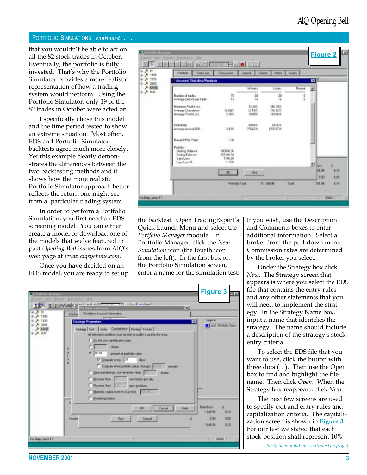#### PORTFOLIO SIMULATIONS continued . . .

that you wouldn't be able to act on all the 82 stock trades in October. Eventually, the portfolio is fully invested. That's why the Portfolio Simulator provides a more realistic representation of how a trading system would perform. Using the Portfolio Simulator, only 19 of the 82 trades in October were acted on.

I specifically chose this model and the time period tested to show an extreme situation. Most often, EDS and Portfolio Simulator backtests agree much more closely. Yet this example clearly demonstrates the differences between the two backtesting methods and it shows how the more realistic Portfolio Simulator approach better reflects the return one might see from a particular trading system.

In order to perform a Portfolio Simulation, you first need an EDS screening model. You can either create a model or download one of the models that we've featured in past Opening Bell issues from AIQ's web page at www.aiqsystems.com.

Once you have decided on an EDS model, you are ready to set up

| $\overline{H}$ $\overline{H}$ of<br>A 1936<br>A 1939 | <b>Parkley</b><br><b>Stop Louis</b><br>Moorent Statistics/Analysis                        | <b>Tomaction</b>                           | <b>Journal</b>              | Nated<br><b>Closed</b>           | <b>Graph</b>             | 回                               |
|------------------------------------------------------|-------------------------------------------------------------------------------------------|--------------------------------------------|-----------------------------|----------------------------------|--------------------------|---------------------------------|
| 4 2000<br>A KANE                                     |                                                                                           |                                            | Winner                      | Lyser                            | Neutral                  | 쁴                               |
| <b>B-A KE</b>                                        | Number of tracket:<br>Average periods per trade                                           | T8<br>14                                   | ---------------<br>29<br>14 | *************<br>30<br>14        | --------------<br>a<br>a |                                 |
|                                                      | Maximum Profit/Loyer<br>Average Drawdown:<br>Avenua Profit/Long                           | 19.394%<br>0.353                           | 32,48%<br>(343%)<br>10.88%  | 146,198%<br>115,364%<br>(10.041) |                          |                                 |
|                                                      | Pichability<br>Average Annual FIO1:                                                       | 1435                                       | 50,00%<br>276.62%           | 50,003<br>1256.971%              |                          |                                 |
|                                                      | Reward/Rick Ratio:                                                                        | 1.08                                       |                             |                                  |                          |                                 |
|                                                      | Pottake:<br><b>Stating Balancer</b><br>Ending Balance:<br><b>Gain/Lone</b><br>Bain/Loss & | 100000.00<br>101149.94<br>1149.94<br>1.15% |                             |                                  |                          | 뇌                               |
|                                                      |                                                                                           | œ                                          | <b>Dirt</b>                 |                                  |                          | ×<br><b>GHI</b><br>48.94<br>100 |

the backtest. Open TradingExpert's Quick Launch Menu and select the Portfolio Manager module. In Portfolio Manager, click the New Simulation icon (the fourth icon from the left). In the first box on the Portfolio Simulation screen, enter a name for the simulation test.

| U                                             | <b>IS SEEQ ELECTRICIAL CONSUMING</b><br>×<br>Smaladon Account Information<br>Partolic                                                                                                                                                                                                                                                                                                                                                                                                                                                                                                                     |                                                                    |
|-----------------------------------------------|-----------------------------------------------------------------------------------------------------------------------------------------------------------------------------------------------------------------------------------------------------------------------------------------------------------------------------------------------------------------------------------------------------------------------------------------------------------------------------------------------------------------------------------------------------------------------------------------------------------|--------------------------------------------------------------------|
| 1998<br>1995<br>8.2000<br><b>KANE</b><br>2 从王 | <b>Strategy Properties</b><br>▣<br>Strange Eat Enty: Capitaliston Picing Tickers<br>All selected conditions teart be net to quality a position for entry.<br>C Do not any capitalization sales.<br>there:<br>V<br>۰<br><b># 10.00</b><br>percent of perfolio value.<br>ĭ<br><b>P</b> Doepute every 21<br>u<br>das<br>٠<br>Compute when portfolio yakes changes [11131 percent<br>T dilow partial ends, but never less than 1777<br>thans.<br>IT No loge than<br>new kides per day.<br>No more than<br>open pastions.<br>ш<br>T Maintain capital reserve of at least<br><b>TAGE IS</b><br>F Evanid postane | Legend<br>LineT: Postfolio Value                                   |
|                                               | Carcel<br>DK<br>Heb<br>Invento<br>Ram<br>Cancel                                                                                                                                                                                                                                                                                                                                                                                                                                                                                                                                                           | GaryTone<br>×<br>1,148.94<br>816<br>130<br>8:00<br>1,148.98<br>115 |

If you wish, use the Description and Comments boxes to enter additional information. Select a broker from the pull-down menu. Commission rates are determined by the broker you select.

Under the Strategy box click New. The Strategy screen that appears is where you select the EDS file that contains the entry rules and any other statements that you will need to implement the strategy. In the Strategy Name box, input a name that identifies the strategy. The name should include a description of the strategy's stock entry criteria.

To select the EDS file that you want to use, click the button with three dots  $(...)$ . Then use the Open box to find and highlight the file name. Then click Open. When the Strategy box reappears, click Next.

The next few screens are used to specify exit and entry rules and capitalization criteria. The capitalization screen is shown in **Figure 3**. For our test we stated that each stock position shall represent 10%

Portfolio Simulations continued on page 4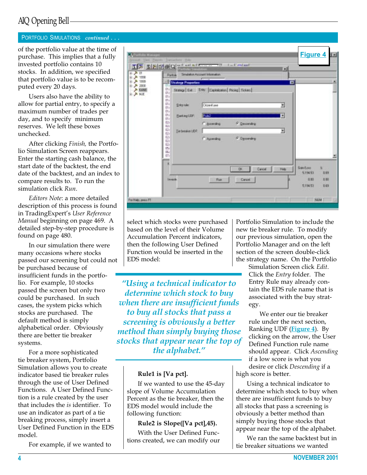## AIQ Opening Bell

### PORTFOLIO SIMULATIONS *continued ...*

of the portfolio value at the time of purchase. This implies that a fully invested portfolio contains 10 stocks. In addition, we specified that portfolio value is to be recomputed every 20 days.

Users also have the ability to allow for partial entry, to specify a maximum number of trades per day, and to specify minimum reserves. We left these boxes unchecked.

After clicking Finish, the Portfolio Simulation Screen reappears. Enter the starting cash balance, the start date of the backtest, the end date of the backtest, and an index to compare results to. To run the simulation click Run.

Editors Note: a more detailed description of this process is found in TradingExpert's User Reference Manual beginning on page 469. A detailed step-by-step procedure is found on page 480.

In our simulation there were many occasions where stocks passed our screening but could not be purchased because of insufficient funds in the portfolio. For example, 10 stocks passed the screen but only two could be purchased. In such cases, the system picks which stocks are purchased. The default method is simply alphabetical order. Obviously there are better tie breaker systems.

For a more sophisticated tie breaker system, Portfolio Simulation allows you to create indicator based tie breaker rules through the use of User Defined Functions. A User Defined Function is a rule created by the user that includes the is identifier. To use an indicator as part of a tie breaking process, simply insert a User Defined Function in the EDS model.

For example, if we wanted to

| 피 - 시 피<br>主 入 1938<br>※ 入 1939     |                                                                                                                                                                                             | Partoli - Smilaton Account Information<br><b>Strategy Properties</b> | <b>ID</b> BREEQ HOLD COMPANY<br>$-$                                                                         |                               | $\vert x \vert$<br>囩 |                                               |                          |
|-------------------------------------|---------------------------------------------------------------------------------------------------------------------------------------------------------------------------------------------|----------------------------------------------------------------------|-------------------------------------------------------------------------------------------------------------|-------------------------------|----------------------|-----------------------------------------------|--------------------------|
| ※ 入 2000<br>> KANE<br><b>E-A KE</b> | αŧ<br>$01 - 1$<br>01d<br>mil<br>$\sigma$ <sub>1</sub><br>GT7<br>an J<br>Of all<br>0trl<br>01/<br><b>CEN</b><br><b>azy</b><br>œ/<br>02V<br>62/<br>02v<br>02/<br>œ.<br>OG/<br>CD <sup>1</sup> | <b>Entry rate:</b><br>Elanking UDP:<br>Tie besaker LOF               | Strategy Evil Errity Capitalistics Pickey Tickers<br>Climitane<br><b>Pluk2</b><br>C assenting<br>C Apending | IF Desperating<br>F Desperang | 团<br>۰<br>٠          |                                               |                          |
|                                     | Invento                                                                                                                                                                                     |                                                                      | Ram                                                                                                         | DK<br>Carcel  <br>Cancel      | Heb                  | <b>GaryTour</b><br>519493<br>1.00<br>5,194.53 | ×<br>189<br>E-20<br>8.49 |

select which stocks were purchased based on the level of their Volume Accumulation Percent indicators, then the following User Defined Function would be inserted in the EDS model:

Using a technical indicator to determine which stock to buy when there are insufficient funds to buy all stocks that pass a screening is obviously a better method than simply buying those stocks that appear near the top of the alphabet.

#### Rule1 is [Va pct].

If we wanted to use the 45-day slope of Volume Accumulation Percent as the tie breaker, then the EDS model would include the following function:

#### Rule2 is Slope([Va pct],45).

With the User Defined Functions created, we can modify our Portfolio Simulation to include the new tie breaker rule. To modify our previous simulation, open the Portfolio Manager and on the left section of the screen double-click the strategy name. On the Portfolio

Simulation Screen click Edit. Click the Entry folder. The Entry Rule may already contain the EDS rule name that is associated with the buy strategy.

We enter our tie breaker rule under the next section, Ranking UDF (**Figure 4**). By clicking on the arrow, the User Defined Function rule name should appear. Click Ascending if a low score is what you desire or click Descending if a high score is better.

Using a technical indicator to determine which stock to buy when there are insufficient funds to buy all stocks that pass a screening is obviously a better method than simply buying those stocks that appear near the top of the alphabet.

We ran the same backtest but in tie breaker situations we wanted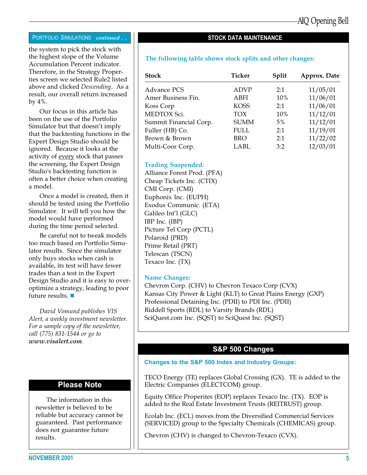#### PORTFOLIO SIMULATIONS continued . .

the system to pick the stock with the highest slope of the Volume Accumulation Percent indicator. Therefore, in the Strategy Properties screen we selected Rule2 listed above and clicked Descending. As a result, our overall return increased by 4%.

Our focus in this article has been on the use of the Portfolio Simulator but that doesn't imply that the backtesting functions in the Expert Design Studio should be ignored. Because it looks at the activity of every stock that passes the screening, the Expert Design Studio's backtesting function is often a better choice when creating a model.

Once a model is created, then it should be tested using the Portfolio Simulator. It will tell you how the model would have performed during the time period selected.

Be careful not to tweak models too much based on Portfolio Simulator results. Since the simulator only buys stocks when cash is available, its test will have fewer trades than a test in the Expert Design Studio and it is easy to overoptimize a strategy, leading to poor future results.  $\blacksquare$ 

David Vomund publishes VIS Alert, a weekly investment newsletter. For a sample copy of the newsletter, call (775) 831-1544 or go to www.visalert.com.

#### Please Note

The information in this newsletter is believed to be reliable but accuracy cannot be guaranteed. Past performance does not guarantee future results.

STOCK DATA MAINTENANCE

#### The following table shows stock splits and other changes:

| <b>Stock</b>           | <b>Ticker</b> | Split | Approx. Date |
|------------------------|---------------|-------|--------------|
| <b>Advance PCS</b>     | <b>ADVP</b>   | 2:1   | 11/05/01     |
| Amer Business Fin.     | ABFI          | 10%   | 11/06/01     |
| Koss Corp              | <b>KOSS</b>   | 2:1   | 11/06/01     |
| MEDTOX Sci.            | <b>TOX</b>    | 10%   | 11/12/01     |
| Summit Financial Corp. | <b>SUMM</b>   | $5\%$ | 11/12/01     |
| Fuller (HB) Co.        | <b>FULL</b>   | 2:1   | 11/19/01     |
| Brown & Brown          | BRO           | 2:1   | 11/22/02     |
| Multi-Coor Corp.       | LABL          | 3:2   | 12/03/01     |

#### Trading Suspended:

Alliance Forest Prod. (PFA) Cheap Tickets Inc. (CTIX) CMI Corp. (CMI) Euphonix Inc. (EUPH) Exodus Communic. (ETA) Galileo Int'l (GLC) IBP Inc. (IBP) Picture Tel Corp (PCTL) Polaroid (PRD) Prime Retail (PRT) Telescan (TSCN) Texaco Inc. (TX)

#### Name Changes:

Chevron Corp. (CHV) to Chevron Texaco Corp (CVX) Kansas City Power & Light (KLT) to Great Plains Energy (GXP) Professional Detaining Inc. (PDII) to PDI Inc. (PDII) Riddell Sports (RDL) to Varsity Brands (RDL) SciQuest.com Inc. (SQST) to SciQuest Inc. (SQST)

#### S&P 500 Changes

#### Changes to the S&P 500 Index and Industry Groups:

TECO Energy (TE) replaces Global Crossing (GX). TE is added to the Electric Companies (ELECTCOM) group.

Equity Office Properites (EOP) replaces Texaco Inc. (TX). EOP is added to the Real Estate Investment Trusts (REITRUST) group.

Ecolab Inc. (ECL) moves from the Diversified Commercial Services (SERVICED) group to the Specialty Chemicals (CHEMICAS) group.

Chevron (CHV) is changed to Chevron-Texaco (CVX).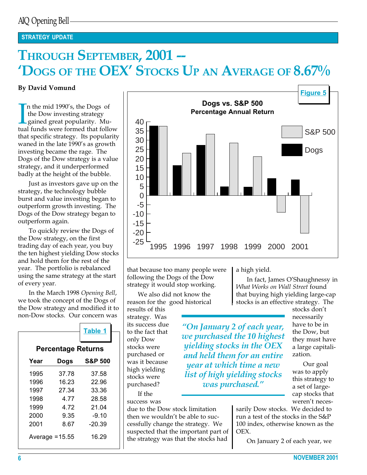## STRATEGY UPDATE

# THROUGH SEPTEMBER, 2001 --'DOGS OF THE OEX' STOCKS UP AN AVERAGE OF 8.67%

#### By David Vomund

In the mid 1990's, the Dogs of<br>the Dow investing strategy<br>gained great popularity. Mu-<br>tual funds were formed that follow n the mid 1990's, the Dogs of the Dow investing strategy gained great popularity. Muthat specific strategy. Its popularity waned in the late 1990's as growth investing became the rage. The Dogs of the Dow strategy is a value strategy, and it underperformed badly at the height of the bubble.

Just as investors gave up on the strategy, the technology bubble burst and value investing began to outperform growth investing. The Dogs of the Dow strategy began to outperform again.

To quickly review the Dogs of the Dow strategy, on the first trading day of each year, you buy the ten highest yielding Dow stocks and hold them for the rest of the year. The portfolio is rebalanced using the same strategy at the start of every year.

In the March 1998 Opening Bell, we took the concept of the Dogs of the Dow strategy and modified it to non-Dow stocks. Our concern was

|      |                           | <b>Table 1</b>     |
|------|---------------------------|--------------------|
|      |                           |                    |
|      | <b>Percentage Returns</b> |                    |
| Year | Dogs                      | <b>S&amp;P 500</b> |
| 1995 | 37.78                     | 37.58              |
| 1996 | 16.23                     | 22.96              |
| 1997 | 27.34                     | 33.36              |
| 1998 | 4.77                      | 28.58              |
| 1999 | 4.72                      | 21.04              |
| 2000 | 9.35                      | -9.10              |
| 2001 | 8.67                      | $-20.39$           |
|      | Average $= 15.55$         | 16.29              |



that because too many people were following the Dogs of the Dow strategy it would stop working.

We also did not know the reason for the good historical

results of this strategy. Was its success due to the fact that only Dow stocks were purchased or was it because high yielding stocks were purchased?

If the success was

due to the Dow stock limitation then we wouldn't be able to successfully change the strategy. We suspected that the important part of the strategy was that the stocks had

a high yield.

In fact, James O'Shaughnessy in What Works on Wall Street found that buying high yielding large-cap stocks is an effective strategy. The

On January 2 of each year, we purchased the 10 highest yielding stocks in the OEX and held them for an entire year at which time a new list of high yielding stocks was purchased."

stocks don't necessarily have to be in the Dow, but they must have a large capitalization.

Our goal was to apply this strategy to a set of largecap stocks that weren't neces-

sarily Dow stocks. We decided to run a test of the stocks in the S&P 100 index, otherwise known as the OEX.

On January 2 of each year, we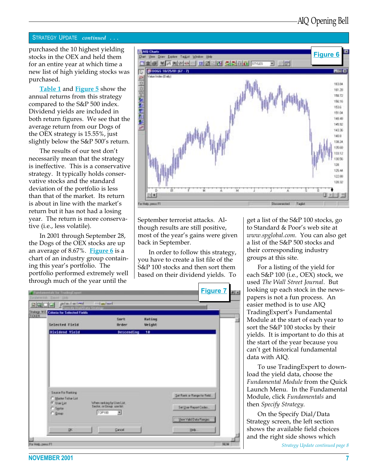#### STRATEGY UPDATE continued ...

purchased the 10 highest yielding stocks in the OEX and held them for an entire year at which time a new list of high yielding stocks was purchased.

Table 1 and Figure 5 show the annual returns from this strategy compared to the S&P 500 index. Dividend yields are included in both return figures. We see that the average return from our Dogs of the OEX strategy is 15.55%, just slightly below the  $S\&P 500's$  return.

The results of our test don't necessarily mean that the strategy is ineffective. This is a conservative strategy. It typically holds conservative stocks and the standard deviation of the portfolio is less than that of the market. Its return is about in line with the market's return but it has not had a losing year. The return is more conservative (i.e., less volatile).

In 2001 through September 28, the Dogs of the OEX stocks are up an average of 8.67%. Figure  $6$  is a chart of an industry group containing this year's portfolio. The portfolio performed extremely well through much of the year until the



September terrorist attacks. Although results are still positive, most of the year's gains were given back in September.

In order to follow this strategy, you have to create a list file of the S&P 100 stocks and then sort them based on their dividend yields. To

|                                 | plateleimi<br><b>Strings ME Criteria for Selected Fields</b> | <b>Industrial</b><br><b>Stationary</b>                |                       |                  |                                                       |  |
|---------------------------------|--------------------------------------------------------------|-------------------------------------------------------|-----------------------|------------------|-------------------------------------------------------|--|
|                                 | Selected Field                                               |                                                       | Spirt<br><b>Brdee</b> | Rating<br>Weight |                                                       |  |
|                                 | Dividend Vield                                               |                                                       | Descending            | 18               |                                                       |  |
|                                 |                                                              |                                                       |                       |                  |                                                       |  |
|                                 |                                                              |                                                       |                       |                  |                                                       |  |
|                                 |                                                              |                                                       |                       |                  |                                                       |  |
|                                 | Sauce For Ranking                                            |                                                       |                       |                  |                                                       |  |
| <b>CE Use List</b><br>C. Septer | F Marter Fichar Lint                                         | When ranking by UserList<br>Sector, or Group and let. |                       |                  | Set Rank or Range for Field<br>Set Unii Report Codes. |  |
| $\sqrt{-1}$                     |                                                              | T0P100                                                | 黒                     |                  | Ven Vald Data Ranges                                  |  |

get a list of the S&P 100 stocks, go to Standard & Poor's web site at www.spglobal.com. You can also get a list of the S&P 500 stocks and their corresponding industry groups at this site.

For a listing of the yield for each S&P 100 (i.e., OEX) stock, we used The Wall Street Journal. But looking up each stock in the newspapers is not a fun process. An easier method is to use AIQ TradingExpert's Fundamental Module at the start of each year to sort the S&P 100 stocks by their yields. It is important to do this at the start of the year because you can't get historical fundamental data with AIQ.

To use TradingExpert to download the yield data, choose the Fundamental Module from the Quick Launch Menu. In the Fundamental Module, click Fundamentals and then Specify Strategy.

On the Specify Dial/Data Strategy screen, the left section shows the available field choices and the right side shows which

Strategy Update continued page 8